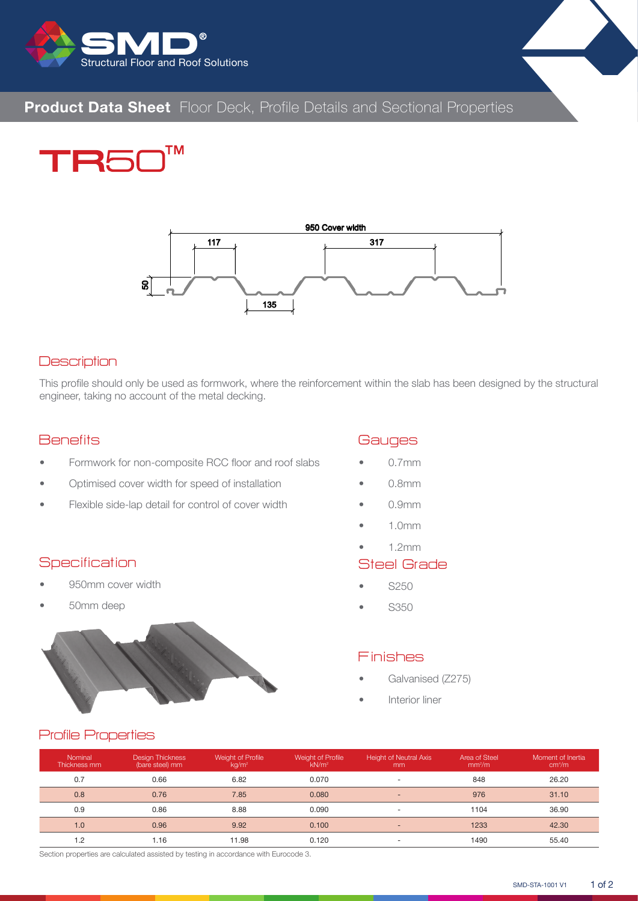

# **Product Data Sheet** Floor Deck, Profile Details and Sectional Properties





#### **Description**

This profile should only be used as formwork, where the reinforcement within the slab has been designed by the structural engineer, taking no account of the metal decking.

#### **Benefits**

- Formwork for non-composite RCC floor and roof slabs
- Optimised cover width for speed of installation
- Flexible side-lap detail for control of cover width

#### **Specification**

• 950mm cover width

Profile Properties

• 50mm deep



#### **Gauges**

- 0.7mm
- 0.8mm
- 0.9mm
- 1.0mm
- 1.2mm

#### Steel Grade

- S250
- S350

#### Finishes

- Galvanised (Z275)
- Interior liner

| Nominal<br>Thickness mm | <b>Design Thickness</b><br>(bare steel) mm | Weight of Profile<br>kg/m <sup>2</sup> | Weight of Profile<br>kN/m <sup>2</sup> | <b>Height of Neutral Axis</b><br>mm | Area of Steel<br>mm <sup>2</sup> /m | Moment of Inertia<br>cm <sup>4</sup> /m |
|-------------------------|--------------------------------------------|----------------------------------------|----------------------------------------|-------------------------------------|-------------------------------------|-----------------------------------------|
| 0.7                     | 0.66                                       | 6.82                                   | 0.070                                  | ۰                                   | 848                                 | 26.20                                   |
| 0.8                     | 0.76                                       | 7.85                                   | 0.080                                  | $\overline{\phantom{a}}$            | 976                                 | 31.10                                   |
| 0.9                     | 0.86                                       | 8.88                                   | 0.090                                  | ۰                                   | 1104                                | 36.90                                   |
| 1.0                     | 0.96                                       | 9.92                                   | 0.100                                  | $\sim$                              | 1233                                | 42.30                                   |
| 1.2                     | 1.16                                       | 11.98                                  | 0.120                                  |                                     | 1490                                | 55.40                                   |

Section properties are calculated assisted by testing in accordance with Eurocode 3.